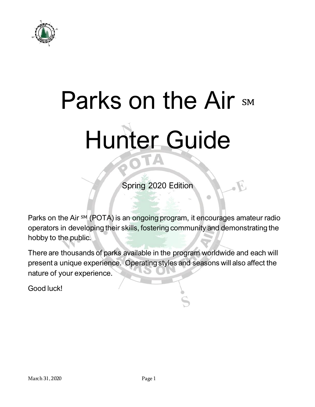

# Parks on the Air SM Hunter Guide

Spring 2020 Edition

Ö

Parks on the Air <sup>SM</sup> (POTA) is an ongoing program, it encourages amateur radio operators in developing their skills, fostering community and demonstrating the hobby to the public.

There are thousands of parks available in the program worldwide and each will present a unique experience. Operating styles and seasons will also affect the nature of your experience.

Good luck!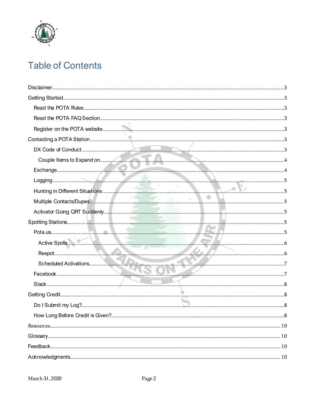

# **Table of Contents**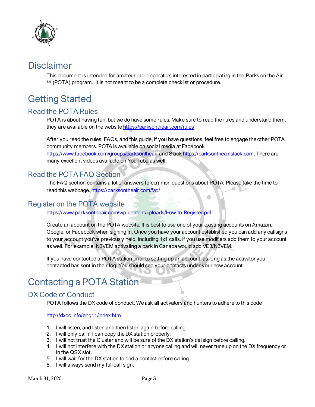

## <span id="page-2-0"></span>**Disclaimer**

This document is intended for amateur radio operators interested in participating in the Parks on the Air SM (POTA) program. It is not meant to be a complete checklist or procedure.

# <span id="page-2-1"></span>Getting Started

## <span id="page-2-2"></span>Read the POTA Rules

POTA is about having fun, but we do have some rules. Make sure to read the rules and understand them, they are available on the websit[e https://parksontheair.com/rules](https://parksontheair.com/rules)

After you read the rules, FAQs, and this guide, if you have questions, feel free to engage the other POTA community members. POTA is available on social media at Facebook

<https://www.facebook.com/groups/parksontheair> and Slac[k https://parksontheair.slack.com](https://parksontheair.slack.com/). There are many excellent videos available on YouTube as well.

## <span id="page-2-3"></span>Read the POTA FAQ Section

The FAQ section contains a lot of answers to common questions about POTA. Please take the time to read this webpage[. https://parksontheair.com/faq/](https://parksontheair.com/faq/)

#### <span id="page-2-4"></span>Register on the POTA website

<https://www.parksontheair.com/wp-content/uploads/How-to-Register.pdf>

Create an account on the POTA website. It is best to use one of your existing accounts on Amazon, Google, or Facebook when signing in. Once you have your account established you can add any callsigns to your account you've previously held, including 1x1 calls. If you use modifiers add them to your account as well. For example, N3VEM activating a park in Canada would add VE3/N3VEM.

If you have contacted a POTA station prior to setting up an account, as long as the activator you contacted has sent in their log. You should see your contacts under your new account.

# <span id="page-2-5"></span>Contacting a POTA Station

## <span id="page-2-6"></span>DX Code of Conduct

POTA follows the DX code of conduct. We ask all activators and hunters to adhere to this code

<http://dxcc.info/eng11/index.htm>

- 1. I will listen, and listen and then listen again before calling.
- 2. I will only call if I can copy the DX station properly.
- 3. I will not trust the Cluster and will be sure of the DX station's callsign before calling.
- 4. I will not interfere with the DX station or anyone calling and will never tune up on the DX frequency or in the QSX slot.
- 5. I will wait for the DX station to end a contact before calling.
- 6. I will always send my full call sign.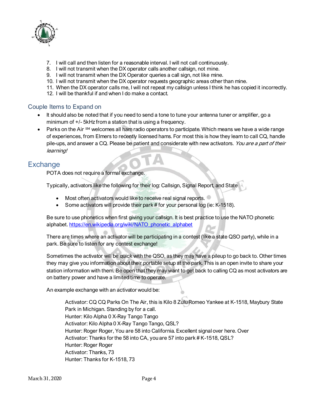

- 7. I will call and then listen for a reasonable interval. I will not call continuously.
- 8. I will not transmit when the DX operator calls another callsign, not mine.
- 9. I will not transmit when the DX Operator queries a call sign, not like mine.
- 10. I will not transmit when the DX operator requests geographic areas other than mine.
- 11. When the DX operator calls me, I will not repeat my callsign unless I think he has copied it incorrectly.
- 12. I will be thankful if and when I do make a contact.

#### <span id="page-3-0"></span>Couple Items to Expand on

- It should also be noted that if you need to send a tone to tune your antenna tuner or amplifier, go a minimum of +/- 5kHz from a station that is using a frequency.
- Parks on the Air SM welcomes all ham radio operators to participate. Which means we have a wide range of experiences, from Elmers to recently licensed hams. For most this is how they learn to call CQ, handle pile-ups, and answer a CQ. Please be patient and considerate with new activators. You are a part of their learning!

## <span id="page-3-1"></span>**Exchange**

POTA does not require a formal exchange.

Typically, activators like the following for their log: Callsign, Signal Report, and State

- Most often activators would like to receive real signal reports.
- Some activators will provide their park # for your personal log (ie: K-1518).

Be sure to use phonetics when first giving your callsign. It is best practice to use the NATO phonetic alphabet[. https://en.wikipedia.org/wiki/NATO\\_phonetic\\_alphabet](https://en.wikipedia.org/wiki/NATO_phonetic_alphabet)

There are times where an activator will be participating in a contest (like a state QSO party), while in a park. Be sure to listen for any contest exchange!

Sometimes the activator will be quick with the QSO, as they may have a pileup to go back to. Other times they may give you information about their portable setup at the park. This is an open invite to share your station information with them. Be open that they may want to get back to calling CQ as most activators are on battery power and have a limited time to operate.

An example exchange with an activator would be:

Activator: CQ CQ Parks On The Air, this is Kilo 8 Zulu Romeo Yankee at K-1518, Maybury State Park in Michigan. Standing by for a call. Hunter: Kilo Alpha 0 X-Ray Tango Tango Activator: Kilo Alpha 0 X-Ray Tango Tango, QSL? Hunter: Roger Roger, You are 58 into California. Excellent signal over here. Over Activator: Thanks for the 58 into CA, you are 57 into park # K-1518, QSL? Hunter: Roger Roger Activator: Thanks, 73 Hunter: Thanks for K-1518, 73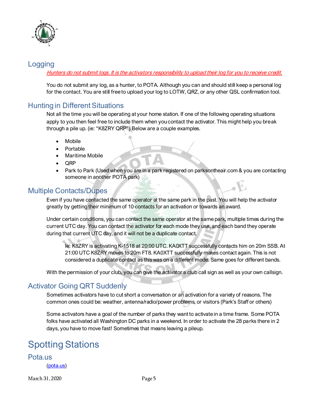

## <span id="page-4-0"></span>Logging

#### Hunters do not submit logs. It is the activators responsibility to upload their log for you to receive credit.

You do not submit any log, as a hunter, to POTA. Although you can and should still keep a personal log for the contact. You are still free to upload your log to LOTW, QRZ, or any other QSL confirmation tool.

## <span id="page-4-1"></span>Hunting in Different Situations

Not all the time you will be operating at your home station. If one of the following operating situations apply to you then feel free to include them when you contact the activator. This might help you break through a pile up. (ie: "K8ZRY QRP") Below are a couple examples.

- **Mobile**
- Portable
- Maritime Mobile
- QRP
- Park to Park (Used when you are in a park registered on parksontheair.com & you are contacting someone in another POTA park)

## <span id="page-4-2"></span>Multiple Contacts/Dupes

Even if you have contacted the same operator at the same park in the past. You will help the activator greatly by getting their minimum of 10 contacts for an activation or towards an award.

Under certain conditions, you can contact the same operator at the same park, multiple times during the current UTC day. You can contact the activator for each mode they use, and each band they operate during that current UTC day, and it will not be a duplicate contact.

Ie: K8ZRY is activating K-1518 at 20:00 UTC. KA0XTT successfully contacts him on 20m SSB. At 21:00 UTC K8ZRY moves to 20m FT8. KA0XTT successfully makes contact again. This is not considered a duplicate contact as this was on a different mode. Same goes for different bands.

With the permission of your club, you can give the activator a club call sign as well as your own callsign.

## <span id="page-4-3"></span>Activator Going QRT Suddenly

Sometimes activators have to cut short a conversation or an activation for a variety of reasons. The common ones could be: weather, antenna/radio/power problems, or visitors (Park's Staff or others)

Some activators have a goal of the number of parks they want to activate in a time frame. Some POTA folks have activated all Washington DC parks in a weekend. In order to activate the 28 parks there in 2 days, you have to move fast! Sometimes that means leaving a pileup.

# <span id="page-4-4"></span>Spotting Stations

<span id="page-4-5"></span>Pota.us [\(pota.us\)](file:///C:/Users/zraubing/Downloads/pota.us)

March 31, 2020 Page 5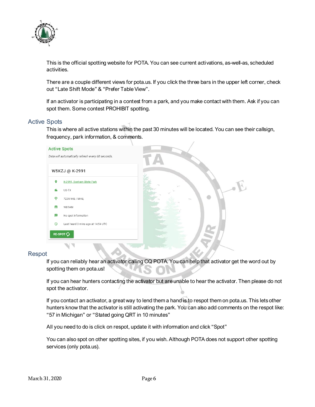

This is the official spotting website for POTA. You can see current activations, as-well-as, scheduled activities.

There are a couple different views for pota.us. If you click the three bars in the upper left corner, check out "Late Shift Mode" & "Prefer Table View".

If an activator is participating in a contest from a park, and you make contact with them. Ask if you can spot them. Some contest PROHIBIT spotting.

#### <span id="page-5-0"></span>Active Spots

This is where all active stations within the past 30 minutes will be located. You can see their callsign, frequency, park information, & comments.



#### <span id="page-5-1"></span>Respot

If you can reliably hear an activator calling CQ POTA. You can help that activator get the word out by spotting them on pota.us!

If you can hear hunters contacting the activator but are unable to hear the activator. Then please do not spot the activator.

If you contact an activator, a great way to lend them a hand is to respot them on pota.us. This lets other hunters know that the activator is still activating the park. You can also add comments on the respot like: "57 in Michigan" or "Stated going QRT in 10 minutes"

All you need to do is click on respot, update it with information and click "Spot"

You can also spot on other spotting sites, if you wish. Although POTA does not support other spotting services (only pota.us).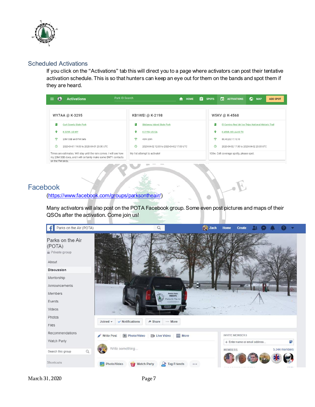

#### <span id="page-6-0"></span>Scheduled Activations

If you click on the "Activations" tab this will direct you to a page where activators can post their tentative activation schedule. This is so that hunters can keep an eye out for them on the bands and spot them if they are heard.

| Park ID Search<br><b>Activations</b><br>$\mathbf{C}$<br>≡                                                                                                | 自<br>47<br>HOME                               | ⊙<br>n.<br><b>SPOTS</b><br><b>ACTIVATIONS</b><br><b>MAP</b><br><b>ADD SPOT</b> |
|----------------------------------------------------------------------------------------------------------------------------------------------------------|-----------------------------------------------|--------------------------------------------------------------------------------|
| WY7AA @ K-3295                                                                                                                                           | KB1WEI @ K-2198                               | W5KV @ K-4568                                                                  |
| ш<br><b>Curt Gowdy State Park</b>                                                                                                                        | <b>Skidaway Island State Park</b>             | п,<br>El Camino Real del los Tejas National Historic Trail                     |
| o<br>K-3295, US-WY                                                                                                                                       | ۰<br>K-2198, US-GA                            | ۰<br>K-4568, US-LA, US-TX                                                      |
| ൈ<br>20M SSB and FM Sats                                                                                                                                 | ھ<br>40m 20m                                  | P<br>80.40.20.17.15.10                                                         |
| $\odot$<br>2020-04-01 19:00 to 2020-04-01 23:00 UTC                                                                                                      | ര<br>2020-04-02 12:00 to 2020-04-02 17:00 UTC | $\odot$<br>2020-04-02 17:00 to 2020-04-02 20:00 UTC                            |
| Times are estimates. Will stay until the rain comes. I will see how<br>my 20M SSB does, and I will certainly make some DN71 contacts<br>on the FM birds. | My 1st attempt to activate!                   | 100w. Cell coverage spotty, please spot.                                       |

#### <span id="page-6-1"></span>Facebook

[\(https://www.facebook.com/groups/parksontheair/](https://www.facebook.com/groups/parksontheair/))

Many activators will also post on the POTA Facebook group. Some even post pictures and maps of their QSOs after the activation. Come join us!

 $\mathbb{R}$ 

á

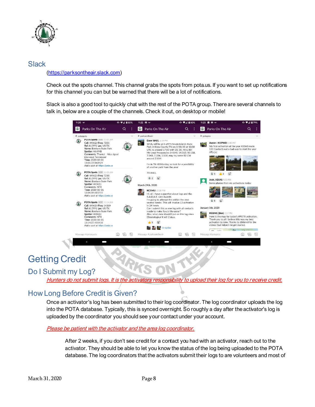

#### <span id="page-7-0"></span>**Slack** [\(https://parksontheair.slack.com](https://parksontheair.slack.com/))

Check out the spots channel. This channel grabs the spots from pota.us. If you want to set up notifications for this channel you can but be warned that there will be a lot of notifications.

Slack is also a good tool to quickly chat with the rest of the POTA group. There are several channels to talk in, below are a couple of the channels. Check it out, on desktop or mobile!

| 11:20 40*   |                                                                                                                                                                                                                                                           | $0$ $9$ $4$ $80%$ |              | 11:22 <b>12</b> 40                                                                                                                                                                                                                                                                                                                                                             | $0$ $\P$ $\triangle$ $80\%$                                                                                                                                                                                                                                                                                            |                                                                                                                                                                                                                                     | 11:23<br>м<br>图 40°                                                                                                                               | $0$ $\blacktriangledown$ 4 $29\%$ |
|-------------|-----------------------------------------------------------------------------------------------------------------------------------------------------------------------------------------------------------------------------------------------------------|-------------------|--------------|--------------------------------------------------------------------------------------------------------------------------------------------------------------------------------------------------------------------------------------------------------------------------------------------------------------------------------------------------------------------------------|------------------------------------------------------------------------------------------------------------------------------------------------------------------------------------------------------------------------------------------------------------------------------------------------------------------------|-------------------------------------------------------------------------------------------------------------------------------------------------------------------------------------------------------------------------------------|---------------------------------------------------------------------------------------------------------------------------------------------------|-----------------------------------|
| L D         | Parks On The Air                                                                                                                                                                                                                                          | Q                 | ÷            | $\circ$<br>Parks On The Air                                                                                                                                                                                                                                                                                                                                                    | Q                                                                                                                                                                                                                                                                                                                      |                                                                                                                                                                                                                                     | $\circ$<br>Parks On The Air                                                                                                                       |                                   |
| # potaspots |                                                                                                                                                                                                                                                           |                   | $\checkmark$ | # parksontheair                                                                                                                                                                                                                                                                                                                                                                |                                                                                                                                                                                                                                                                                                                        | $\checkmark$                                                                                                                                                                                                                        | # potapics                                                                                                                                        |                                   |
|             | POIA Spots APP 11:01 AM<br>Call: W5KZJ Freq: 7235<br>Ref: K-2991 Loc: US-TX<br>Name: Bonham State Park<br>Spotter: AA4MB<br>Comments: Thanks! Nice signal<br>into west Tennessee!<br>Time: 2020-03-31<br>15:01:19.863424<br>Add a spot at https://pota.us |                   |              | Dave W4JL 6:19 PM<br>around 3.554!                                                                                                                                                                                                                                                                                                                                             | W4JL will be at K-2975 Seven Islands State<br>Park in Knox County TN on 3/28/20 at 13:30<br>UTC to around 17:00 with 20, 30, 40 & 80!<br>My usual frequencies 14.048, 14.310, 10.118,<br>7.048, 7.184, 3.838, may try some 80 CW<br>I'm in TN till Monday, so look for a possibility<br>of another park from the area! |                                                                                                                                                                                                                                     | Aaron - N5PWD 8:40 PM<br><b>MAN</b><br>My first activation of the year K2363 made<br>133 Contacts not a bad way to start the year<br>official in. |                                   |
|             | POTA Spots APP 11:05 AM<br>Call: W5KZJ Freg: 7230<br>Ref: K-2991 Loc: US-TX<br>Name: Bonham State Park<br>Spotter: W5KZJ<br>Comments: NTX<br>Time: 2020-03-31<br>15:04:59.615715                                                                          |                   |              | 73 W4 IL<br>March 29th, 2020<br><b>KC1MIJ</b> 12:28 PM                                                                                                                                                                                                                                                                                                                         |                                                                                                                                                                                                                                                                                                                        |                                                                                                                                                                                                                                     | $\mathbf{G}^+$<br>$\overline{3}$<br>Josh, AE8JG 9:20 PM<br>Some photos from my activations today                                                  |                                   |
|             | Add a spot at https://pota.us<br>POTA Spots APP 11:14 AM<br>Call: W5KZJ Freg: 14309<br>Ref: K-2991 Loc: US-TX<br>Name: Bonham State Park<br>Spotter: W5KZJ<br>Comments: NTX<br>Time: 2020-03-31<br>15:14:27.455418<br>Add a spot at https://pota.us       |                   |              | Hi, all. I have a question about logs and the<br>R.A.D.A.R. Lion Awards.<br>I'm going to attempt this within the next<br>several weeks. This will involve 13 activation<br>in 24 hours.<br>Can I submit this as one log with all contacts<br>inside to make Rory's life easier?<br>Also, what date should I put on this log since<br>Chronological it will 2 days<br>3 replies |                                                                                                                                                                                                                                                                                                                        | G<br>January 5th, 2020<br>KOBMC (Ben) 2:57 PM<br>Here is the map for today's #POTA activation.<br>Thank you to all I believe this was my best<br>activation to date. Thanks to @k8mrd for the<br>videos that helped me get started. | time, there                                                                                                                                       |                                   |
|             | Message #potaspots                                                                                                                                                                                                                                        |                   | 똄            | Message #parksontheair                                                                                                                                                                                                                                                                                                                                                         |                                                                                                                                                                                                                                                                                                                        |                                                                                                                                                                                                                                     | $A_{\Delta}$<br>Message #potapics                                                                                                                 | ſΟ                                |
|             |                                                                                                                                                                                                                                                           |                   |              |                                                                                                                                                                                                                                                                                                                                                                                |                                                                                                                                                                                                                                                                                                                        |                                                                                                                                                                                                                                     |                                                                                                                                                   |                                   |

## <span id="page-7-1"></span>Getting Credit

## <span id="page-7-2"></span>Do I Submit my Log?

Hunters do not submit logs. It is the activators responsibility to upload their log for you to receive credit.

## <span id="page-7-3"></span>How Long Before Credit is Given?

Once an activator's log has been submitted to their log coordinator. The log coordinator uploads the log into the POTA database. Typically, this is synced overnight. So roughly a day after the activator's log is uploaded by the coordinator you should see your contact under your account.

#### Please be patient with the activator and the area log coordinator.

After 2 weeks, if you don't see credit for a contact you had with an activator, reach out to the activator. They should be able to let you know the status of the log being uploaded to the POTA database. The log coordinators that the activators submit their logs to are volunteers and most of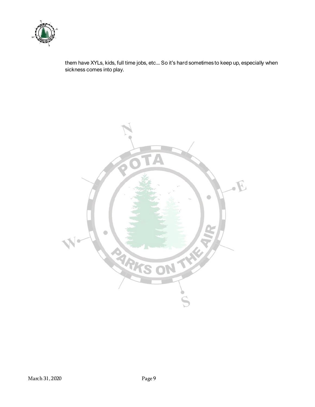

them have XYLs, kids, full time jobs, etc... So it's hard sometimes to keep up, especially when sickness comes into play.